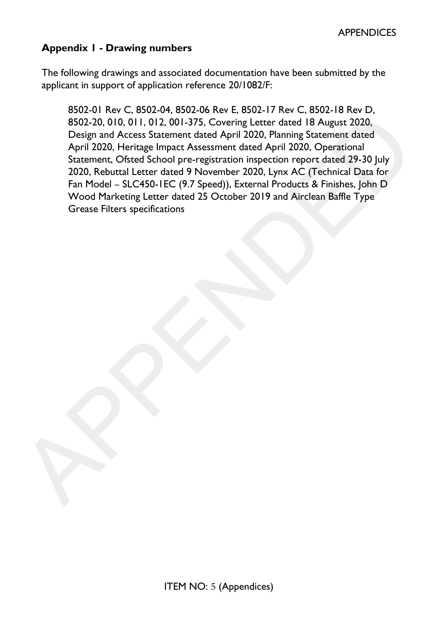# **Appendix 1 - Drawing numbers**

The following drawings and associated documentation have been submitted by the applicant in support of application reference 20/1082/F:

8502-01 Rev C, 8502-04, 8502-06 Rev E, 8502-17 Rev C, 8502-18 Rev D, 8502-20, 010, 011, 012, 001-375, Covering Letter dated 18 August 2020, Design and Access Statement dated April 2020, Planning Statement dated April 2020, Heritage Impact Assessment dated April 2020, Operational Statement, Ofsted School pre-registration inspection report dated 29-30 July 2020, Rebuttal Letter dated 9 November 2020, Lynx AC (Technical Data for Fan Model – SLC450-1EC (9.7 Speed)), External Products & Finishes, John D Wood Marketing Letter dated 25 October 2019 and Airclean Baffle Type essa 20.0.01.0.01.012.001-375, Covering Letter dated [8] August 2020,<br>
Design and Access Statement dated April 2020. Planning Statement dated<br>
April 2020. Heritage Impact Assessment dated April 2020. Planning Statement dat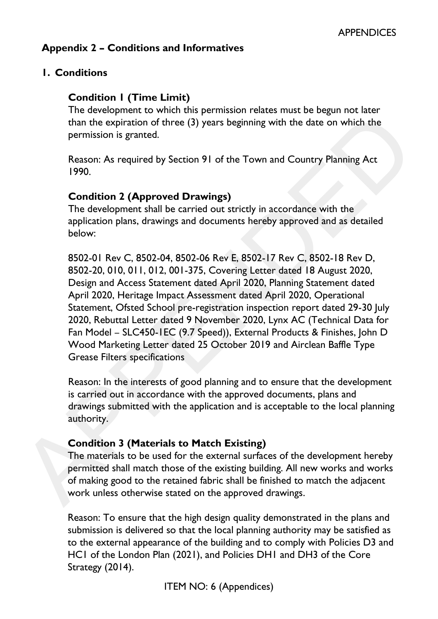## **Appendix 2 – Conditions and Informatives**

## **1. Conditions**

## **Condition 1 (Time Limit)**

The development to which this permission relates must be begun not later than the expiration of three (3) years beginning with the date on which the permission is granted.

Reason: As required by Section 91 of the Town and Country Planning Act 1990.

## **Condition 2 (Approved Drawings)**

The development shall be carried out strictly in accordance with the application plans, drawings and documents hereby approved and as detailed below:

8502-01 Rev C, 8502-04, 8502-06 Rev E, 8502-17 Rev C, 8502-18 Rev D, 8502-20, 010, 011, 012, 001-375, Covering Letter dated 18 August 2020, Design and Access Statement dated April 2020, Planning Statement dated April 2020, Heritage Impact Assessment dated April 2020, Operational Statement, Ofsted School pre-registration inspection report dated 29-30 July 2020, Rebuttal Letter dated 9 November 2020, Lynx AC (Technical Data for Fan Model – SLC450-1EC (9.7 Speed)), External Products & Finishes, John D Wood Marketing Letter dated 25 October 2019 and Airclean Baffle Type Grease Filters specifications The developments of three (3) years beginning with the date on which the<br>than the expiration of three (3) years beginning with the date on which the<br>permission is granted.<br>Reason: As required by Section 91 of the Town and

Reason: In the interests of good planning and to ensure that the development is carried out in accordance with the approved documents, plans and drawings submitted with the application and is acceptable to the local planning authority.

## **Condition 3 (Materials to Match Existing)**

The materials to be used for the external surfaces of the development hereby permitted shall match those of the existing building. All new works and works of making good to the retained fabric shall be finished to match the adjacent work unless otherwise stated on the approved drawings.

Reason: To ensure that the high design quality demonstrated in the plans and submission is delivered so that the local planning authority may be satisfied as to the external appearance of the building and to comply with Policies D3 and HC1 of the London Plan (2021), and Policies DH1 and DH3 of the Core Strategy (2014).

ITEM NO: 6 (Appendices)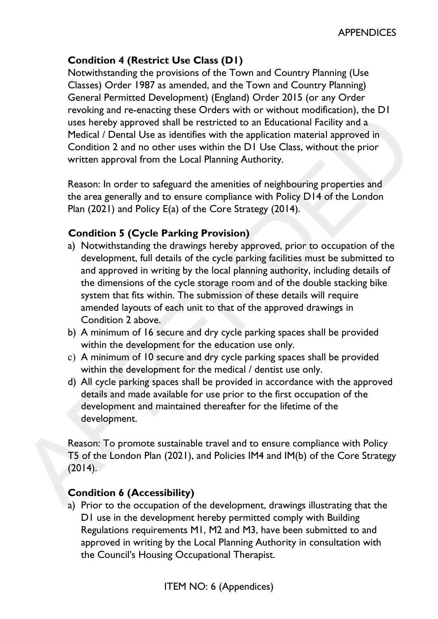# **Condition 4 (Restrict Use Class (D1)**

Notwithstanding the provisions of the Town and Country Planning (Use Classes) Order 1987 as amended, and the Town and Country Planning) General Permitted Development) (England) Order 2015 (or any Order revoking and re-enacting these Orders with or without modification), the D1 uses hereby approved shall be restricted to an Educational Facility and a Medical / Dental Use as identifies with the application material approved in Condition 2 and no other uses within the D1 Use Class, without the prior written approval from the Local Planning Authority.

Reason: In order to safeguard the amenities of neighbouring properties and the area generally and to ensure compliance with Policy D14 of the London Plan (2021) and Policy E(a) of the Core Strategy (2014).

# **Condition 5 (Cycle Parking Provision)**

- a) Notwithstanding the drawings hereby approved, prior to occupation of the development, full details of the cycle parking facilities must be submitted to and approved in writing by the local planning authority, including details of the dimensions of the cycle storage room and of the double stacking bike system that fits within. The submission of these details will require amended layouts of each unit to that of the approved drawings in Condition 2 above. is the column of the same than the application and method of the control of the control of the control of Condition 2 and no other uses within the DI Use Class, without the prior Condition 2 and no other uses within the DI
	- b) A minimum of 16 secure and dry cycle parking spaces shall be provided within the development for the education use only.
	- c) A minimum of 10 secure and dry cycle parking spaces shall be provided within the development for the medical / dentist use only.
	- d) All cycle parking spaces shall be provided in accordance with the approved details and made available for use prior to the first occupation of the development and maintained thereafter for the lifetime of the development.

Reason: To promote sustainable travel and to ensure compliance with Policy T5 of the London Plan (2021), and Policies IM4 and IM(b) of the Core Strategy  $(2014)$ .

## **Condition 6 (Accessibility)**

a) Prior to the occupation of the development, drawings illustrating that the D1 use in the development hereby permitted comply with Building Regulations requirements M1, M2 and M3, have been submitted to and approved in writing by the Local Planning Authority in consultation with the Council's Housing Occupational Therapist.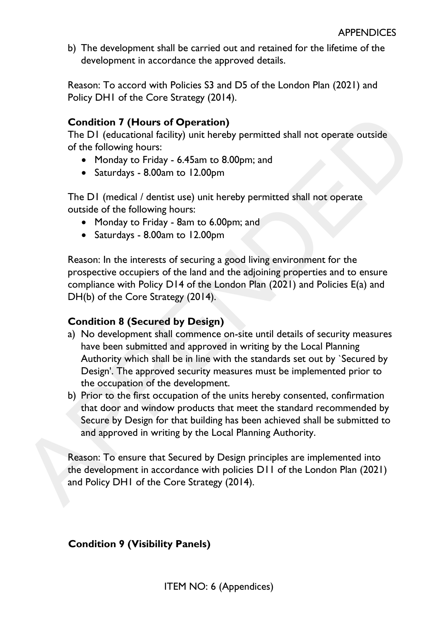b) The development shall be carried out and retained for the lifetime of the development in accordance the approved details.

Reason: To accord with Policies S3 and D5 of the London Plan (2021) and Policy DH1 of the Core Strategy (2014).

## **Condition 7 (Hours of Operation)**

The D1 (educational facility) unit hereby permitted shall not operate outside of the following hours:

- Monday to Friday 6.45am to 8.00pm; and
- Saturdays 8.00am to 12.00pm

The D1 (medical / dentist use) unit hereby permitted shall not operate outside of the following hours:

- Monday to Friday 8am to 6.00pm; and
- Saturdays 8.00am to 12.00pm

Reason: In the interests of securing a good living environment for the prospective occupiers of the land and the adjoining properties and to ensure compliance with Policy D14 of the London Plan (2021) and Policies E(a) and DH(b) of the Core Strategy (2014).

# **Condition 8 (Secured by Design)**

- a) No development shall commence on-site until details of security measures have been submitted and approved in writing by the Local Planning Authority which shall be in line with the standards set out by `Secured by Design'. The approved security measures must be implemented prior to the occupation of the development. **Condition 7 (Hours of Operation)**<br>
The DI (educational facility) unit hereby permitted shall not operate outside<br>
of the following hours:<br>
• Monday to Friday - 6.45am to 8.00pm; and<br>
• Sturdays - 8.00am to 12.00pm<br>
The D
	- b) Prior to the first occupation of the units hereby consented, confirmation that door and window products that meet the standard recommended by Secure by Design for that building has been achieved shall be submitted to and approved in writing by the Local Planning Authority.

Reason: To ensure that Secured by Design principles are implemented into the development in accordance with policies D11 of the London Plan (2021) and Policy DH1 of the Core Strategy (2014).

# **Condition 9 (Visibility Panels)**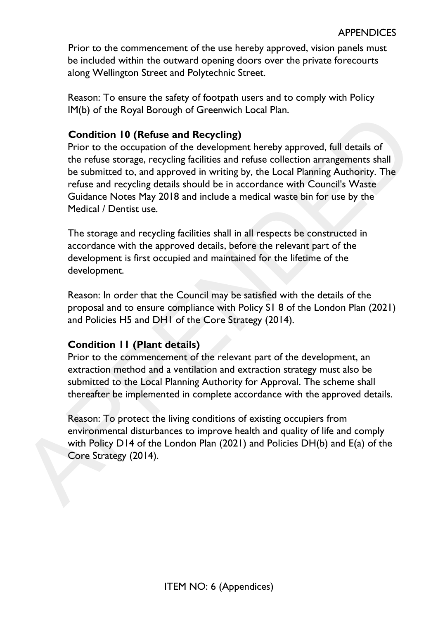Prior to the commencement of the use hereby approved, vision panels must be included within the outward opening doors over the private forecourts along Wellington Street and Polytechnic Street.

Reason: To ensure the safety of footpath users and to comply with Policy IM(b) of the Royal Borough of Greenwich Local Plan.

## **Condition 10 (Refuse and Recycling)**

Prior to the occupation of the development hereby approved, full details of the refuse storage, recycling facilities and refuse collection arrangements shall be submitted to, and approved in writing by, the Local Planning Authority. The refuse and recycling details should be in accordance with Council's Waste Guidance Notes May 2018 and include a medical waste bin for use by the Medical / Dentist use. Condition 10 (Refuse and Recycling)<br>
Condition 10 (Refuse and Recycling)<br>
Critric to the occupation of the development hereby approved, full details of<br>
the refuse storage, recycling facilities and refuse collection arrang

The storage and recycling facilities shall in all respects be constructed in accordance with the approved details, before the relevant part of the development is first occupied and maintained for the lifetime of the development.

Reason: In order that the Council may be satisfied with the details of the proposal and to ensure compliance with Policy S1 8 of the London Plan (2021) and Policies H5 and DH1 of the Core Strategy (2014).

## **Condition 11 (Plant details)**

Prior to the commencement of the relevant part of the development, an extraction method and a ventilation and extraction strategy must also be submitted to the Local Planning Authority for Approval. The scheme shall thereafter be implemented in complete accordance with the approved details.

Reason: To protect the living conditions of existing occupiers from environmental disturbances to improve health and quality of life and comply with Policy D14 of the London Plan (2021) and Policies DH(b) and E(a) of the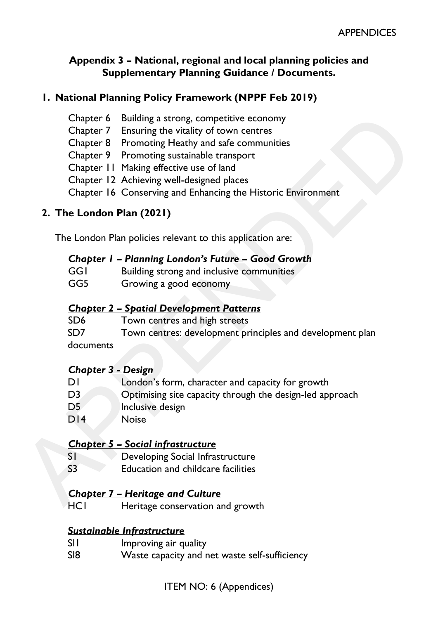#### **Appendix 3 – National, regional and local planning policies and Supplementary Planning Guidance / Documents.**

## **1. National Planning Policy Framework (NPPF Feb 2019)**

- Chapter 6 Building a strong, competitive economy
- Chapter 7 Ensuring the vitality of town centres
- Chapter 8 Promoting Heathy and safe communities
- Chapter 9 Promoting sustainable transport
- Chapter 11 Making effective use of land
- Chapter 12 Achieving well-designed places
- Chapter 16 Conserving and Enhancing the Historic Environment

## **2. The London Plan (2021)**

|     | <b>Chapter I - Planning London's Future - Good Growth</b> |
|-----|-----------------------------------------------------------|
| GGI | Building strong and inclusive communities                 |
| GG5 | Growing a good economy                                    |

## *Chapter 2 – Spatial Development Patterns*

| SD <sub>6</sub> | Town centres and high streets                             |
|-----------------|-----------------------------------------------------------|
| SD <sub>7</sub> | Town centres: development principles and development plan |
| documents       |                                                           |

## *Chapter 3 - Design*

| Chapter 6                 | Building a strong, competitive economy                       |
|---------------------------|--------------------------------------------------------------|
| Chapter 7                 | Ensuring the vitality of town centres                        |
|                           | Chapter 8 Promoting Heathy and safe communities              |
|                           | Chapter 9 Promoting sustainable transport                    |
|                           | Chapter 11 Making effective use of land                      |
|                           | Chapter 12 Achieving well-designed places                    |
|                           | Chapter 16 Conserving and Enhancing the Historic Environment |
| 2. The London Plan (2021) |                                                              |
|                           | The London Plan policies relevant to this application are:   |
|                           | <b>Chapter I - Planning London's Future - Good Growth</b>    |
| GGI                       | Building strong and inclusive communities                    |
| GG5                       | Growing a good economy                                       |
|                           | <b>Chapter 2 - Spatial Development Patterns</b>              |
| SD <sub>6</sub>           | Town centres and high streets                                |
| SD7                       | Town centres: development principles and development plan    |
| documents                 |                                                              |
| <b>Chapter 3 - Design</b> |                                                              |
| DI                        | London's form, character and capacity for growth             |
| D <sub>3</sub>            | Optimising site capacity through the design-led approach     |
| D <sub>5</sub>            | Inclusive design                                             |
| DI4                       | <b>Noise</b>                                                 |
|                           | <b>Chapter 5 - Social infrastructure</b>                     |
| SI                        | Developing Social Infrastructure                             |
| S3                        | <b>Education and childcare facilities</b>                    |
|                           | <b>Chapter 7 - Heritage and Culture</b>                      |
| <b>HCI</b>                | Heritage conservation and growth                             |

#### *Chapter 5 – Social infrastructure*

- S1 Developing Social Infrastructure
- S3 Education and childcare facilities

## *Chapter 7 – Heritage and Culture*

HC1 Heritage conservation and growth

## *Sustainable Infrastructure*

- SII Improving air quality
- SI8 Waste capacity and net waste self-sufficiency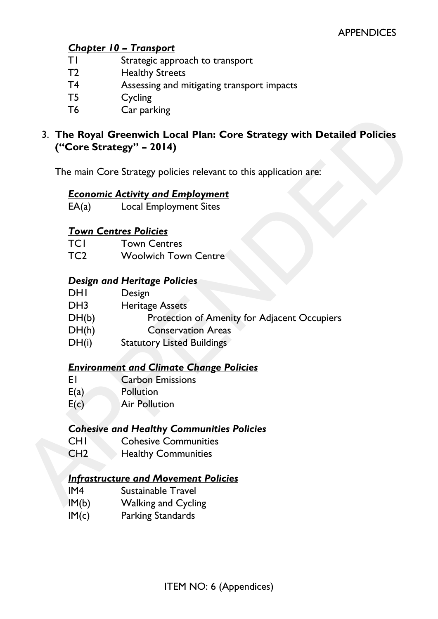## *Chapter 10 – Transport*

- T1 Strategic approach to transport
- T2 Healthy Streets
- T4 Assessing and mitigating transport impacts
- T5 Cycling
- T6 Car parking
- 3. **The Royal Greenwich Local Plan: Core Strategy with Detailed Policies ("Core Strategy" – 2014)**  3. The Royal Greenwich Local Plan: Core Strategy with Detailed Policies<br>
("Core Strategy" - 2014)<br>
The main Core Strategy policies relevant to this application are:<br>
Economic Activity and Employment<br>
EA(a) Local Employment

The main Core Strategy policies relevant to this application are:

## *Economic Activity and Employment*

EA(a) Local Employment Sites

## *Town Centres Policies*

TC1 Town Centres

TC2 Woolwich Town Centre

## *Design and Heritage Policies*

- DH<sub>I</sub> Design
- DH3 Heritage Assets
- DH(b) Protection of Amenity for Adjacent Occupiers
- DH(h) Conservation Areas
- DH(i) Statutory Listed Buildings

## *Environment and Climate Change Policies*

- E1 Carbon Emissions
- E(a) Pollution
- E(c) Air Pollution

## *Cohesive and Healthy Communities Policies*

- CH1 Cohesive Communities
- CH2 Healthy Communities

## *Infrastructure and Movement Policies*

- IM4 Sustainable Travel
- 
- IM(c) Parking Standards